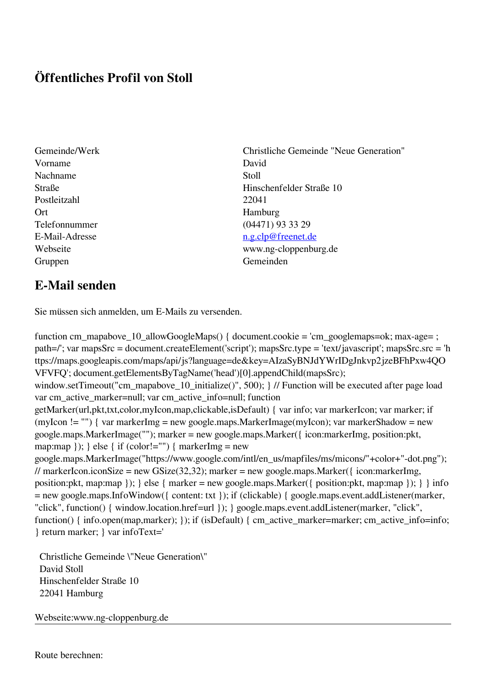## **Öffentliches Profil von Stoll**

- Gemeinde/Werk Christliche Gemeinde "Neue Generation" Vorname David Nachname Stoll Postleitzahl 22041 Ort Hamburg Gruppen Gemeinden Gemeinden Gemeinden Gemeinden Gemeinden Gemeinden Gemeinden Gemeinden Gemeinden Gemeinden G
- Straße Hinschenfelder Straße 10 Telefonnummer (04471) 93 33 29 E-Mail-Adresse [n.g.clp@freenet.de](mailto:n.g.clp@freenet.de) Webseite www.ng-cloppenburg.de

## **E-Mail senden**

Sie müssen sich anmelden, um E-Mails zu versenden.

function cm\_mapabove\_10\_allowGoogleMaps() { document.cookie = 'cm\_googlemaps=ok; max-age= ; path=/'; var mapsSrc = document.createElement('script'); mapsSrc.type = 'text/javascript'; mapsSrc.src = 'h ttps://maps.googleapis.com/maps/api/js?language=de&key=AIzaSyBNJdYWrIDgJnkvp2jzeBFhPxw4QO VFVFQ'; document.getElementsByTagName('head')[0].appendChild(mapsSrc); window.setTimeout("cm\_mapabove\_10\_initialize()", 500); } // Function will be executed after page load var cm\_active\_marker=null; var cm\_active\_info=null; function getMarker(url,pkt,txt,color,myIcon,map,clickable,isDefault) { var info; var markerIcon; var marker; if (myIcon != "") { var markerImg = new google.maps.MarkerImage(myIcon); var markerShadow = new google.maps.MarkerImage(""); marker = new google.maps.Marker({ icon:markerImg, position:pkt, map:map  $\}$ ;  $\}$  else  $\{$  if (color!="")  $\{$  markerImg = new google.maps.MarkerImage("https://www.google.com/intl/en\_us/mapfiles/ms/micons/"+color+"-dot.png"); // markerIcon.iconSize = new GSize(32,32); marker = new google.maps.Marker({ $i$ con:markerImg, position:pkt, map:map }); } else { marker = new google.maps.Marker({ position:pkt, map:map }); } } info = new google.maps.InfoWindow({ content: txt }); if (clickable) { google.maps.event.addListener(marker, "click", function() { window.location.href=url }); } google.maps.event.addListener(marker, "click", function() { info.open(map,marker); }); if (isDefault) { cm\_active\_marker=marker; cm\_active\_info=info; } return marker; } var infoText='

 Christliche Gemeinde \"Neue Generation\" David Stoll Hinschenfelder Straße 10 22041 Hamburg

Webseite:www.ng-cloppenburg.de

Route berechnen: